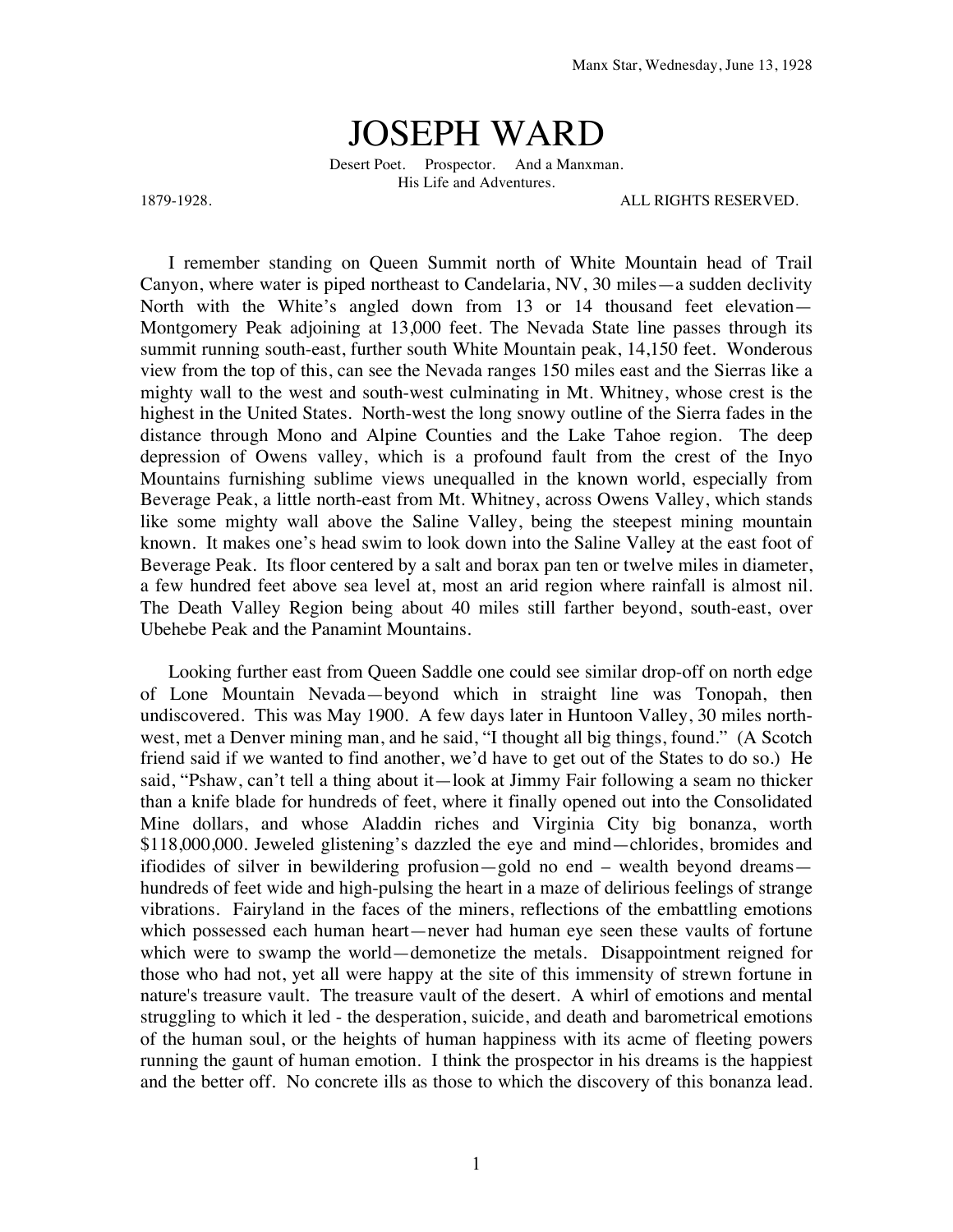## JOSEPH WARD

Desert Poet. Prospector. And a Manxman. His Life and Adventures.

1879-1928. ALL RIGHTS RESERVED.

I remember standing on Queen Summit north of White Mountain head of Trail Canyon, where water is piped northeast to Candelaria, NV, 30 miles—a sudden declivity North with the White's angled down from 13 or 14 thousand feet elevation— Montgomery Peak adjoining at 13,000 feet. The Nevada State line passes through its summit running south-east, further south White Mountain peak, 14,150 feet. Wonderous view from the top of this, can see the Nevada ranges 150 miles east and the Sierras like a mighty wall to the west and south-west culminating in Mt. Whitney, whose crest is the highest in the United States. North-west the long snowy outline of the Sierra fades in the distance through Mono and Alpine Counties and the Lake Tahoe region. The deep depression of Owens valley, which is a profound fault from the crest of the Inyo Mountains furnishing sublime views unequalled in the known world, especially from Beverage Peak, a little north-east from Mt. Whitney, across Owens Valley, which stands like some mighty wall above the Saline Valley, being the steepest mining mountain known. It makes one's head swim to look down into the Saline Valley at the east foot of Beverage Peak. Its floor centered by a salt and borax pan ten or twelve miles in diameter, a few hundred feet above sea level at, most an arid region where rainfall is almost nil. The Death Valley Region being about 40 miles still farther beyond, south-east, over Ubehebe Peak and the Panamint Mountains.

Looking further east from Queen Saddle one could see similar drop-off on north edge of Lone Mountain Nevada—beyond which in straight line was Tonopah, then undiscovered. This was May 1900. A few days later in Huntoon Valley, 30 miles northwest, met a Denver mining man, and he said, "I thought all big things, found." (A Scotch friend said if we wanted to find another, we'd have to get out of the States to do so.) He said, "Pshaw, can't tell a thing about it—look at Jimmy Fair following a seam no thicker than a knife blade for hundreds of feet, where it finally opened out into the Consolidated Mine dollars, and whose Aladdin riches and Virginia City big bonanza, worth \$118,000,000. Jeweled glistening's dazzled the eye and mind—chlorides, bromides and ifiodides of silver in bewildering profusion—gold no end – wealth beyond dreams hundreds of feet wide and high-pulsing the heart in a maze of delirious feelings of strange vibrations. Fairyland in the faces of the miners, reflections of the embattling emotions which possessed each human heart—never had human eye seen these vaults of fortune which were to swamp the world—demonetize the metals. Disappointment reigned for those who had not, yet all were happy at the site of this immensity of strewn fortune in nature's treasure vault. The treasure vault of the desert. A whirl of emotions and mental struggling to which it led - the desperation, suicide, and death and barometrical emotions of the human soul, or the heights of human happiness with its acme of fleeting powers running the gaunt of human emotion. I think the prospector in his dreams is the happiest and the better off. No concrete ills as those to which the discovery of this bonanza lead.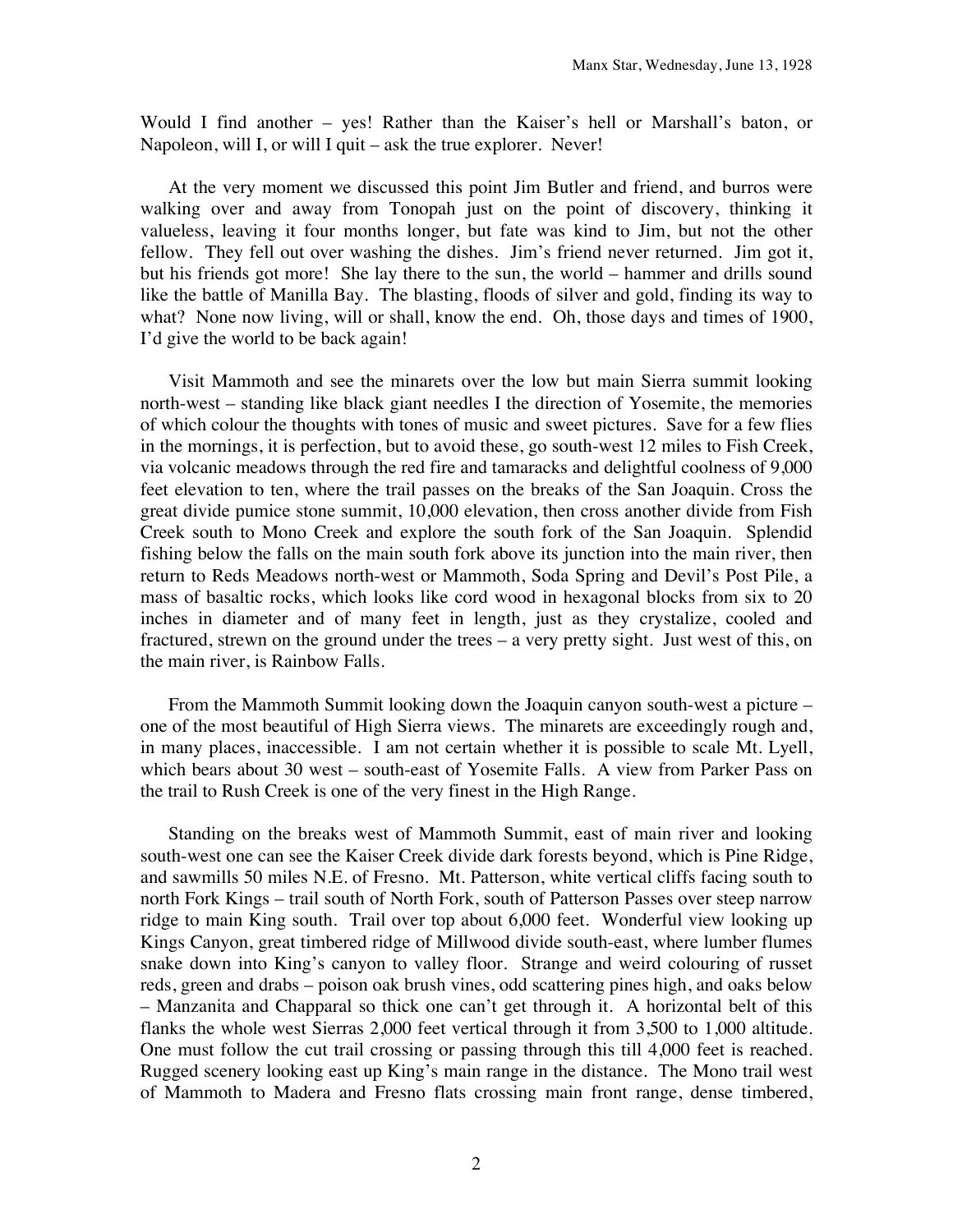Would I find another – yes! Rather than the Kaiser's hell or Marshall's baton, or Napoleon, will I, or will I quit – ask the true explorer. Never!

At the very moment we discussed this point Jim Butler and friend, and burros were walking over and away from Tonopah just on the point of discovery, thinking it valueless, leaving it four months longer, but fate was kind to Jim, but not the other fellow. They fell out over washing the dishes. Jim's friend never returned. Jim got it, but his friends got more! She lay there to the sun, the world – hammer and drills sound like the battle of Manilla Bay. The blasting, floods of silver and gold, finding its way to what? None now living, will or shall, know the end. Oh, those days and times of 1900, I'd give the world to be back again!

Visit Mammoth and see the minarets over the low but main Sierra summit looking north-west – standing like black giant needles I the direction of Yosemite, the memories of which colour the thoughts with tones of music and sweet pictures. Save for a few flies in the mornings, it is perfection, but to avoid these, go south-west 12 miles to Fish Creek, via volcanic meadows through the red fire and tamaracks and delightful coolness of 9,000 feet elevation to ten, where the trail passes on the breaks of the San Joaquin. Cross the great divide pumice stone summit, 10,000 elevation, then cross another divide from Fish Creek south to Mono Creek and explore the south fork of the San Joaquin. Splendid fishing below the falls on the main south fork above its junction into the main river, then return to Reds Meadows north-west or Mammoth, Soda Spring and Devil's Post Pile, a mass of basaltic rocks, which looks like cord wood in hexagonal blocks from six to 20 inches in diameter and of many feet in length, just as they crystalize, cooled and fractured, strewn on the ground under the trees – a very pretty sight. Just west of this, on the main river, is Rainbow Falls.

From the Mammoth Summit looking down the Joaquin canyon south-west a picture – one of the most beautiful of High Sierra views. The minarets are exceedingly rough and, in many places, inaccessible. I am not certain whether it is possible to scale Mt. Lyell, which bears about 30 west – south-east of Yosemite Falls. A view from Parker Pass on the trail to Rush Creek is one of the very finest in the High Range.

Standing on the breaks west of Mammoth Summit, east of main river and looking south-west one can see the Kaiser Creek divide dark forests beyond, which is Pine Ridge, and sawmills 50 miles N.E. of Fresno. Mt. Patterson, white vertical cliffs facing south to north Fork Kings – trail south of North Fork, south of Patterson Passes over steep narrow ridge to main King south. Trail over top about 6,000 feet. Wonderful view looking up Kings Canyon, great timbered ridge of Millwood divide south-east, where lumber flumes snake down into King's canyon to valley floor. Strange and weird colouring of russet reds, green and drabs – poison oak brush vines, odd scattering pines high, and oaks below – Manzanita and Chapparal so thick one can't get through it. A horizontal belt of this flanks the whole west Sierras 2,000 feet vertical through it from 3,500 to 1,000 altitude. One must follow the cut trail crossing or passing through this till 4,000 feet is reached. Rugged scenery looking east up King's main range in the distance. The Mono trail west of Mammoth to Madera and Fresno flats crossing main front range, dense timbered,